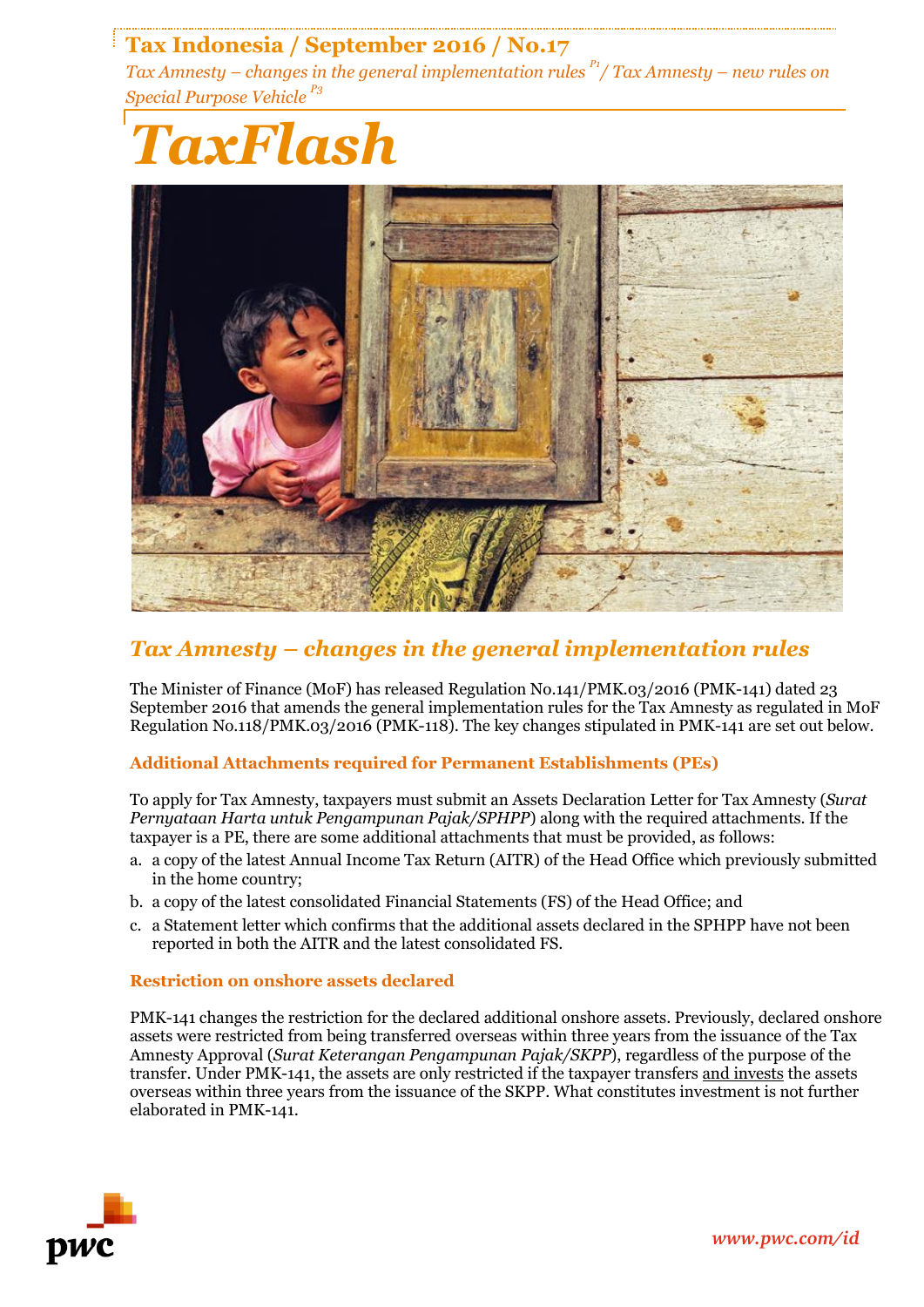# **Tax Indonesia / September 2016 / No.17**

*Tax Amnesty – changes in the general implementation rules P1/ Tax Amnesty – new rules on Special Purpose Vehicle P3*





# *Tax Amnesty – changes in the general implementation rules*

The Minister of Finance (MoF) has released Regulation No.141/PMK.03/2016 (PMK-141) dated 23 September 2016 that amends the general implementation rules for the Tax Amnesty as regulated in MoF Regulation No.118/PMK.03/2016 (PMK-118). The key changes stipulated in PMK-141 are set out below.

# **Additional Attachments required for Permanent Establishments (PEs)**

To apply for Tax Amnesty, taxpayers must submit an Assets Declaration Letter for Tax Amnesty (*Surat Pernyataan Harta untuk Pengampunan Pajak/SPHPP*) along with the required attachments. If the taxpayer is a PE, there are some additional attachments that must be provided, as follows:

- a. a copy of the latest Annual Income Tax Return (AITR) of the Head Office which previously submitted in the home country;
- b. a copy of the latest consolidated Financial Statements (FS) of the Head Office; and
- c. a Statement letter which confirms that the additional assets declared in the SPHPP have not been reported in both the AITR and the latest consolidated FS.

## **Restriction on onshore assets declared**

PMK-141 changes the restriction for the declared additional onshore assets. Previously, declared onshore assets were restricted from being transferred overseas within three years from the issuance of the Tax Amnesty Approval (*Surat Keterangan Pengampunan Pajak/SKPP*), regardless of the purpose of the transfer. Under PMK-141, the assets are only restricted if the taxpayer transfers and invests the assets overseas within three years from the issuance of the SKPP. What constitutes investment is not further elaborated in PMK-141.

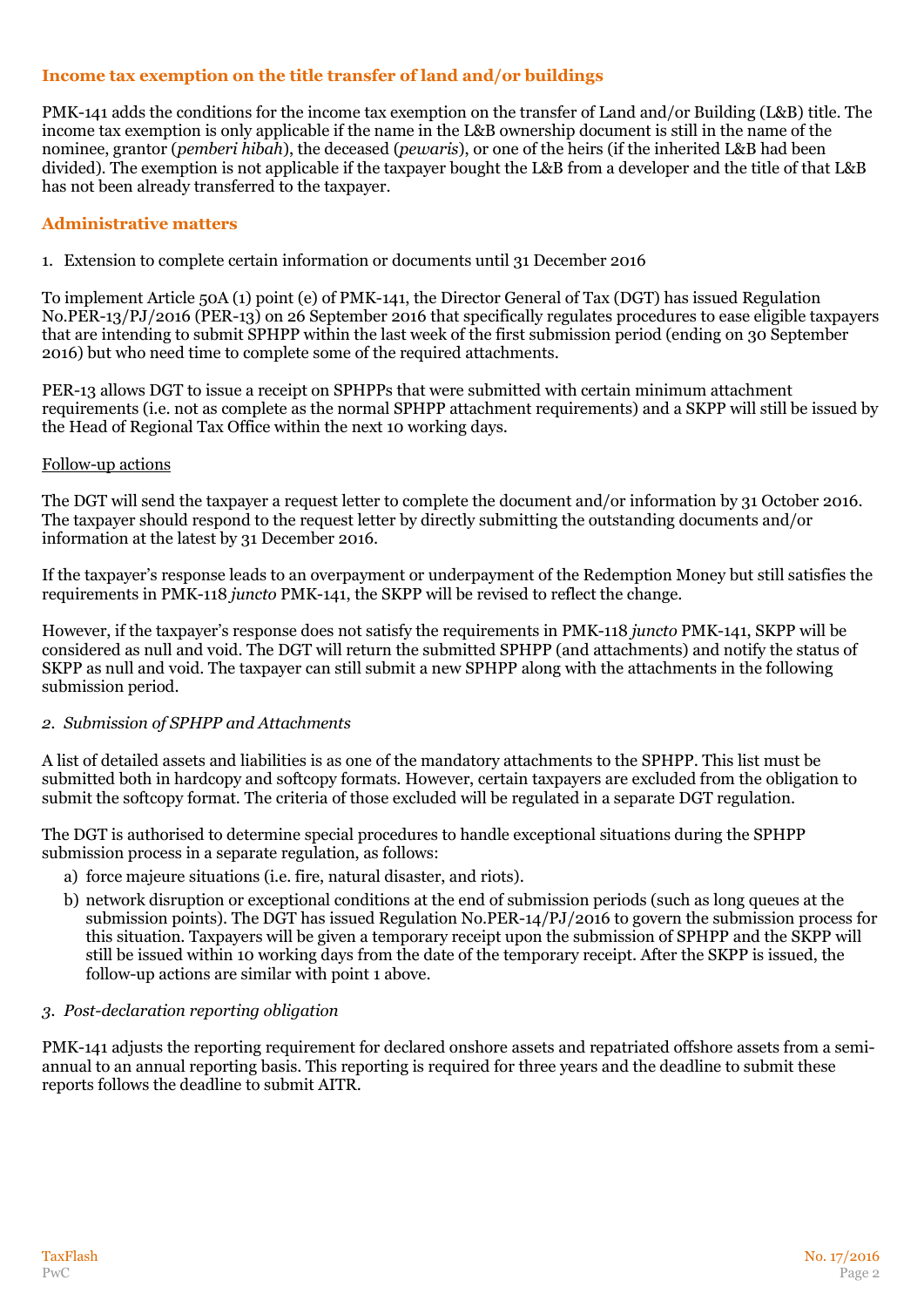## **Income tax exemption on the title transfer of land and/or buildings**

PMK-141 adds the conditions for the income tax exemption on the transfer of Land and/or Building (L&B) title. The income tax exemption is only applicable if the name in the L&B ownership document is still in the name of the nominee, grantor (*pemberi hibah*), the deceased (*pewaris*), or one of the heirs (if the inherited L&B had been divided). The exemption is not applicable if the taxpayer bought the L&B from a developer and the title of that L&B has not been already transferred to the taxpayer.

## **Administrative matters**

1. Extension to complete certain information or documents until 31 December 2016

To implement Article 50A (1) point (e) of PMK-141, the Director General of Tax (DGT) has issued Regulation No.PER-13/PJ/2016 (PER-13) on 26 September 2016 that specifically regulates procedures to ease eligible taxpayers that are intending to submit SPHPP within the last week of the first submission period (ending on 30 September 2016) but who need time to complete some of the required attachments.

PER-13 allows DGT to issue a receipt on SPHPPs that were submitted with certain minimum attachment requirements (i.e. not as complete as the normal SPHPP attachment requirements) and a SKPP will still be issued by the Head of Regional Tax Office within the next 10 working days.

#### Follow-up actions

The DGT will send the taxpayer a request letter to complete the document and/or information by 31 October 2016. The taxpayer should respond to the request letter by directly submitting the outstanding documents and/or information at the latest by 31 December 2016.

If the taxpayer's response leads to an overpayment or underpayment of the Redemption Money but still satisfies the requirements in PMK-118 *juncto* PMK-141, the SKPP will be revised to reflect the change.

However, if the taxpayer's response does not satisfy the requirements in PMK-118 *juncto* PMK-141, SKPP will be considered as null and void. The DGT will return the submitted SPHPP (and attachments) and notify the status of SKPP as null and void. The taxpayer can still submit a new SPHPP along with the attachments in the following submission period.

## *2. Submission of SPHPP and Attachments*

A list of detailed assets and liabilities is as one of the mandatory attachments to the SPHPP. This list must be submitted both in hardcopy and softcopy formats. However, certain taxpayers are excluded from the obligation to submit the softcopy format. The criteria of those excluded will be regulated in a separate DGT regulation.

The DGT is authorised to determine special procedures to handle exceptional situations during the SPHPP submission process in a separate regulation, as follows:

- a) force majeure situations (i.e. fire, natural disaster, and riots).
- b) network disruption or exceptional conditions at the end of submission periods (such as long queues at the submission points). The DGT has issued Regulation No.PER-14/PJ/2016 to govern the submission process for this situation. Taxpayers will be given a temporary receipt upon the submission of SPHPP and the SKPP will still be issued within 10 working days from the date of the temporary receipt. After the SKPP is issued, the follow-up actions are similar with point 1 above.

#### *3. Post-declaration reporting obligation*

PMK-141 adjusts the reporting requirement for declared onshore assets and repatriated offshore assets from a semiannual to an annual reporting basis. This reporting is required for three years and the deadline to submit these reports follows the deadline to submit AITR.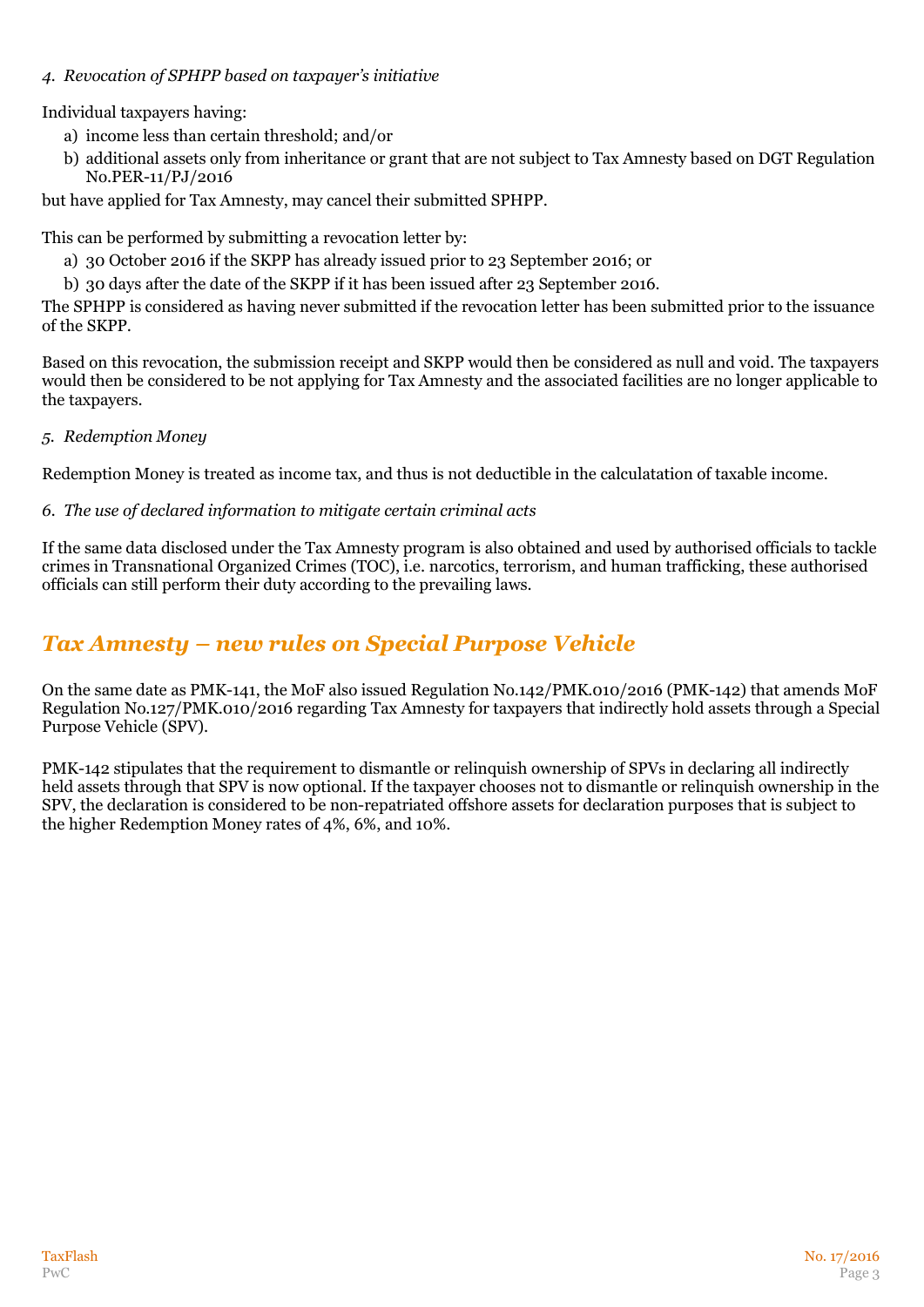## *4. Revocation of SPHPP based on taxpayer's initiative*

Individual taxpayers having:

- a) income less than certain threshold; and/or
- b) additional assets only from inheritance or grant that are not subject to Tax Amnesty based on DGT Regulation No.PER-11/PJ/2016

but have applied for Tax Amnesty, may cancel their submitted SPHPP.

This can be performed by submitting a revocation letter by:

- a) 30 October 2016 if the SKPP has already issued prior to 23 September 2016; or
- b) 30 days after the date of the SKPP if it has been issued after 23 September 2016.

The SPHPP is considered as having never submitted if the revocation letter has been submitted prior to the issuance of the SKPP.

Based on this revocation, the submission receipt and SKPP would then be considered as null and void. The taxpayers would then be considered to be not applying for Tax Amnesty and the associated facilities are no longer applicable to the taxpayers.

## *5. Redemption Money*

Redemption Money is treated as income tax, and thus is not deductible in the calculatation of taxable income.

## *6. The use of declared information to mitigate certain criminal acts*

If the same data disclosed under the Tax Amnesty program is also obtained and used by authorised officials to tackle crimes in Transnational Organized Crimes (TOC), i.e. narcotics, terrorism, and human trafficking, these authorised officials can still perform their duty according to the prevailing laws.

# *Tax Amnesty – new rules on Special Purpose Vehicle*

On the same date as PMK-141, the MoF also issued Regulation No.142/PMK.010/2016 (PMK-142) that amends MoF Regulation No.127/PMK.010/2016 regarding Tax Amnesty for taxpayers that indirectly hold assets through a Special Purpose Vehicle (SPV).

PMK-142 stipulates that the requirement to dismantle or relinquish ownership of SPVs in declaring all indirectly held assets through that SPV is now optional. If the taxpayer chooses not to dismantle or relinquish ownership in the SPV, the declaration is considered to be non-repatriated offshore assets for declaration purposes that is subject to the higher Redemption Money rates of 4%, 6%, and 10%.